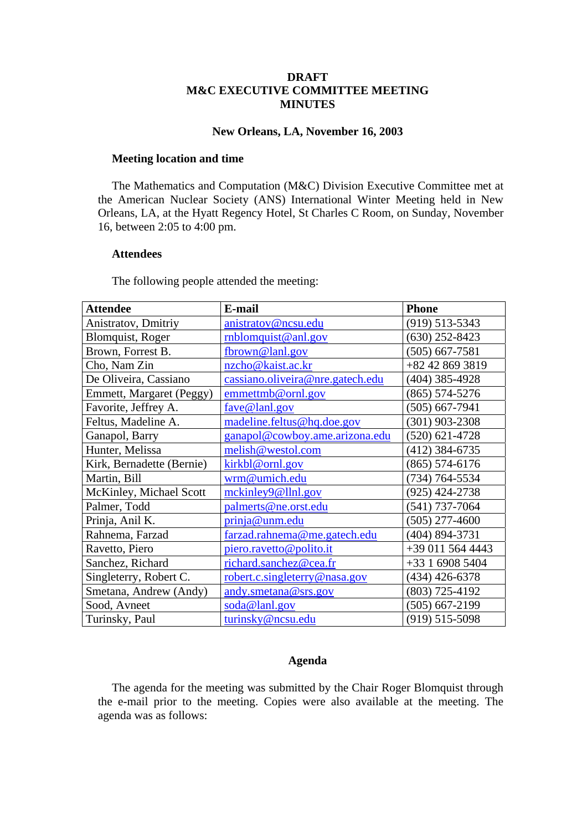### **DRAFT M&C EXECUTIVE COMMITTEE MEETING MINUTES**

#### **New Orleans, LA, November 16, 2003**

#### **Meeting location and time**

The Mathematics and Computation (M&C) Division Executive Committee met at the American Nuclear Society (ANS) International Winter Meeting held in New Orleans, LA, at the Hyatt Regency Hotel, St Charles C Room, on Sunday, November 16, between 2:05 to 4:00 pm.

#### **Attendees**

The following people attended the meeting:

| <b>Attendee</b>           | E-mail                           | <b>Phone</b>       |
|---------------------------|----------------------------------|--------------------|
| Anistratov, Dmitriy       | anistratov@ncsu.edu              | $(919)$ 513-5343   |
| <b>Blomquist, Roger</b>   | rnblomquist@anl.gov              | $(630)$ 252-8423   |
| Brown, Forrest B.         | fbrown@lanl.gov                  | $(505) 667 - 7581$ |
| Cho, Nam Zin              | nzcho@kaist.ac.kr                | +82 42 869 3819    |
| De Oliveira, Cassiano     | cassiano.oliveira@nre.gatech.edu | (404) 385-4928     |
| Emmett, Margaret (Peggy)  | emmettmb@ornl.gov                | $(865) 574 - 5276$ |
| Favorite, Jeffrey A.      | fave@lanl.gov                    | $(505) 667 - 7941$ |
| Feltus, Madeline A.       | madeline.feltus@hq.doe.gov       | $(301)$ 903-2308   |
| Ganapol, Barry            | ganapol@cowboy.ame.arizona.edu   | $(520)$ 621-4728   |
| Hunter, Melissa           | melish@westol.com                | (412) 384-6735     |
| Kirk, Bernadette (Bernie) | kirkbl@ornl.gov                  | $(865) 574 - 6176$ |
| Martin, Bill              | wrm@umich.edu                    | (734) 764-5534     |
| McKinley, Michael Scott   | mckinley9@llnl.gov               | (925) 424-2738     |
| Palmer, Todd              | palmerts@ne.orst.edu             | $(541)$ 737-7064   |
| Prinja, Anil K.           | prinja@unm.edu                   | (505) 277-4600     |
| Rahnema, Farzad           | farzad.rahnema@me.gatech.edu     | (404) 894-3731     |
| Ravetto, Piero            | piero.ravetto@polito.it          | +39 011 564 4443   |
| Sanchez, Richard          | richard.sanchez@cea.fr           | +33 1 6908 5404    |
| Singleterry, Robert C.    | robert.c.singleterry@nasa.gov    | $(434)$ 426-6378   |
| Smetana, Andrew (Andy)    | andy.smetana@srs.gov             | (803) 725-4192     |
| Sood, Avneet              | soda@lanl.gov                    | $(505) 667 - 2199$ |
| Turinsky, Paul            | turinsky@ncsu.edu                | $(919)$ 515-5098   |

#### **Agenda**

The agenda for the meeting was submitted by the Chair Roger Blomquist through the e-mail prior to the meeting. Copies were also available at the meeting. The agenda was as follows: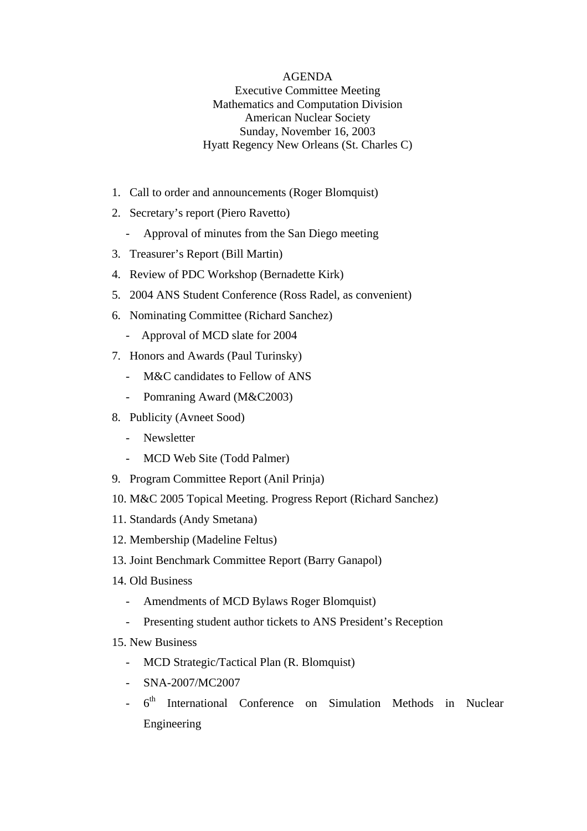## AGENDA Executive Committee Meeting Mathematics and Computation Division American Nuclear Society Sunday, November 16, 2003 Hyatt Regency New Orleans (St. Charles C)

- 1. Call to order and announcements (Roger Blomquist)
- 2. Secretary's report (Piero Ravetto)
	- Approval of minutes from the San Diego meeting
- 3. Treasurer's Report (Bill Martin)
- 4. Review of PDC Workshop (Bernadette Kirk)
- 5. 2004 ANS Student Conference (Ross Radel, as convenient)
- 6. Nominating Committee (Richard Sanchez)
	- Approval of MCD slate for 2004
- 7. Honors and Awards (Paul Turinsky)
	- M&C candidates to Fellow of ANS
	- Pomraning Award (M&C2003)
- 8. Publicity (Avneet Sood)
	- Newsletter
	- MCD Web Site (Todd Palmer)
- 9. Program Committee Report (Anil Prinja)
- 10. M&C 2005 Topical Meeting. Progress Report (Richard Sanchez)
- 11. Standards (Andy Smetana)
- 12. Membership (Madeline Feltus)
- 13. Joint Benchmark Committee Report (Barry Ganapol)
- 14. Old Business
	- Amendments of MCD Bylaws Roger Blomquist)
	- Presenting student author tickets to ANS President's Reception
- 15. New Business
	- MCD Strategic/Tactical Plan (R. Blomquist)
	- SNA-2007/MC2007
	- $6<sup>th</sup>$  International Conference on Simulation Methods in Nuclear Engineering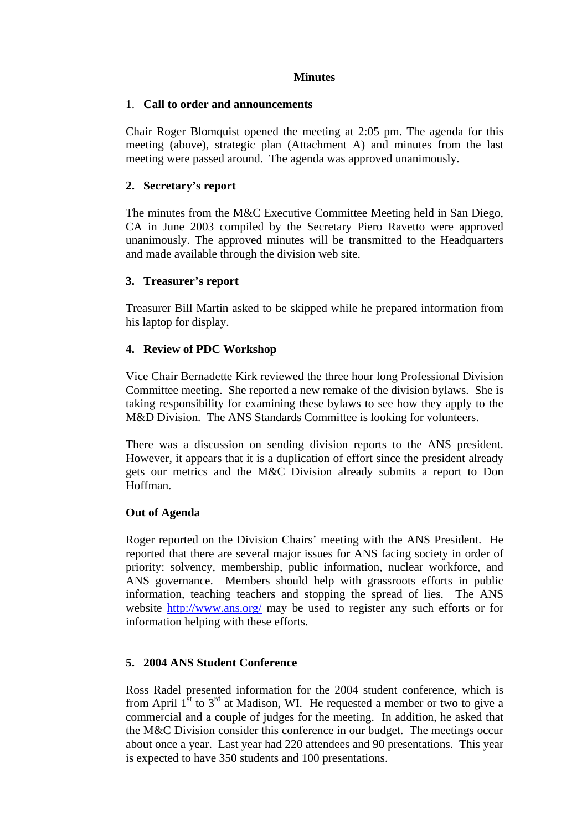## **Minutes**

## 1. **Call to order and announcements**

Chair Roger Blomquist opened the meeting at 2:05 pm. The agenda for this meeting (above), strategic plan (Attachment A) and minutes from the last meeting were passed around. The agenda was approved unanimously.

# **2. Secretary's report**

The minutes from the M&C Executive Committee Meeting held in San Diego, CA in June 2003 compiled by the Secretary Piero Ravetto were approved unanimously. The approved minutes will be transmitted to the Headquarters and made available through the division web site.

## **3. Treasurer's report**

Treasurer Bill Martin asked to be skipped while he prepared information from his laptop for display.

## **4. Review of PDC Workshop**

Vice Chair Bernadette Kirk reviewed the three hour long Professional Division Committee meeting. She reported a new remake of the division bylaws. She is taking responsibility for examining these bylaws to see how they apply to the M&D Division. The ANS Standards Committee is looking for volunteers.

There was a discussion on sending division reports to the ANS president. However, it appears that it is a duplication of effort since the president already gets our metrics and the M&C Division already submits a report to Don Hoffman.

## **Out of Agenda**

Roger reported on the Division Chairs' meeting with the ANS President. He reported that there are several major issues for ANS facing society in order of priority: solvency, membership, public information, nuclear workforce, and ANS governance. Members should help with grassroots efforts in public information, teaching teachers and stopping the spread of lies. The ANS website <http://www.ans.org/> may be used to register any such efforts or for information helping with these efforts.

## **5. 2004 ANS Student Conference**

Ross Radel presented information for the 2004 student conference, which is from April  $1^{\text{st}}$  to  $3^{\text{rd}}$  at Madison, WI. He requested a member or two to give a commercial and a couple of judges for the meeting. In addition, he asked that the M&C Division consider this conference in our budget. The meetings occur about once a year. Last year had 220 attendees and 90 presentations. This year is expected to have 350 students and 100 presentations.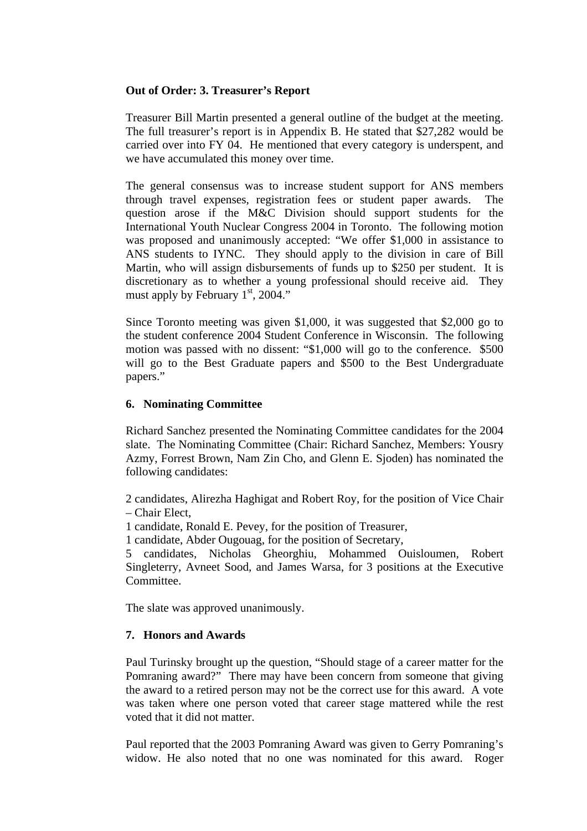## **Out of Order: 3. Treasurer's Report**

Treasurer Bill Martin presented a general outline of the budget at the meeting. The full treasurer's report is in Appendix B. He stated that \$27,282 would be carried over into FY 04. He mentioned that every category is underspent, and we have accumulated this money over time.

The general consensus was to increase student support for ANS members through travel expenses, registration fees or student paper awards. The question arose if the M&C Division should support students for the International Youth Nuclear Congress 2004 in Toronto. The following motion was proposed and unanimously accepted: "We offer \$1,000 in assistance to ANS students to IYNC. They should apply to the division in care of Bill Martin, who will assign disbursements of funds up to \$250 per student. It is discretionary as to whether a young professional should receive aid. They must apply by February  $1<sup>st</sup>$ , 2004."

Since Toronto meeting was given \$1,000, it was suggested that \$2,000 go to the student conference 2004 Student Conference in Wisconsin. The following motion was passed with no dissent: "\$1,000 will go to the conference. \$500 will go to the Best Graduate papers and \$500 to the Best Undergraduate papers."

## **6. Nominating Committee**

Richard Sanchez presented the Nominating Committee candidates for the 2004 slate. The Nominating Committee (Chair: Richard Sanchez, Members: Yousry Azmy, Forrest Brown, Nam Zin Cho, and Glenn E. Sjoden) has nominated the following candidates:

2 candidates, Alirezha Haghigat and Robert Roy, for the position of Vice Chair – Chair Elect,

1 candidate, Ronald E. Pevey, for the position of Treasurer,

1 candidate, Abder Ougouag, for the position of Secretary,

5 candidates, Nicholas Gheorghiu, Mohammed Ouisloumen, Robert Singleterry, Avneet Sood, and James Warsa, for 3 positions at the Executive Committee.

The slate was approved unanimously.

## **7. Honors and Awards**

Paul Turinsky brought up the question, "Should stage of a career matter for the Pomraning award?" There may have been concern from someone that giving the award to a retired person may not be the correct use for this award. A vote was taken where one person voted that career stage mattered while the rest voted that it did not matter.

Paul reported that the 2003 Pomraning Award was given to Gerry Pomraning's widow. He also noted that no one was nominated for this award. Roger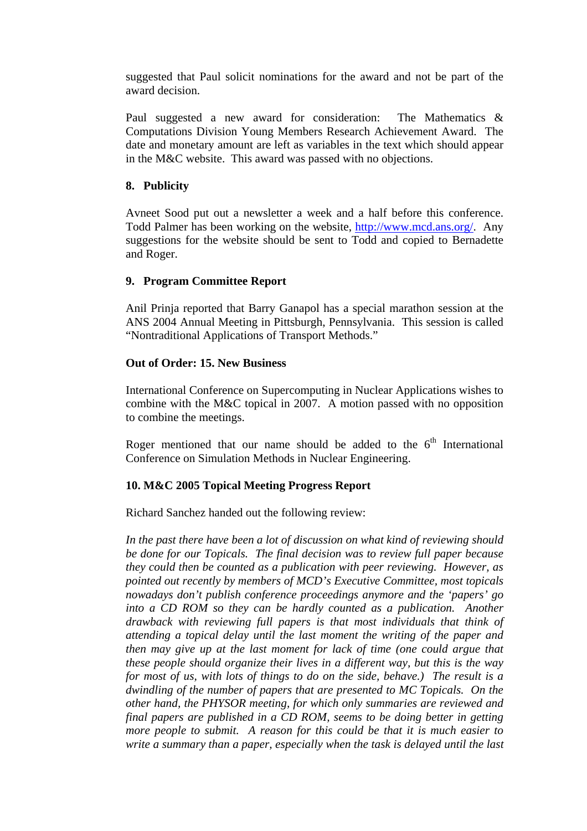suggested that Paul solicit nominations for the award and not be part of the award decision.

Paul suggested a new award for consideration: The Mathematics & Computations Division Young Members Research Achievement Award. The date and monetary amount are left as variables in the text which should appear in the M&C website. This award was passed with no objections.

## **8. Publicity**

Avneet Sood put out a newsletter a week and a half before this conference. Todd Palmer has been working on the website, [http://www.mcd.ans.org/.](http://www.mcd.ans.org/) Any suggestions for the website should be sent to Todd and copied to Bernadette and Roger.

## **9. Program Committee Report**

Anil Prinja reported that Barry Ganapol has a special marathon session at the ANS 2004 Annual Meeting in Pittsburgh, Pennsylvania. This session is called "Nontraditional Applications of Transport Methods."

## **Out of Order: 15. New Business**

International Conference on Supercomputing in Nuclear Applications wishes to combine with the M&C topical in 2007. A motion passed with no opposition to combine the meetings.

Roger mentioned that our name should be added to the  $6<sup>th</sup>$  International Conference on Simulation Methods in Nuclear Engineering.

## **10. M&C 2005 Topical Meeting Progress Report**

Richard Sanchez handed out the following review:

*In the past there have been a lot of discussion on what kind of reviewing should be done for our Topicals. The final decision was to review full paper because they could then be counted as a publication with peer reviewing. However, as pointed out recently by members of MCD's Executive Committee, most topicals nowadays don't publish conference proceedings anymore and the 'papers' go into a CD ROM so they can be hardly counted as a publication. Another drawback with reviewing full papers is that most individuals that think of attending a topical delay until the last moment the writing of the paper and then may give up at the last moment for lack of time (one could argue that these people should organize their lives in a different way, but this is the way for most of us, with lots of things to do on the side, behave.) The result is a dwindling of the number of papers that are presented to MC Topicals. On the other hand, the PHYSOR meeting, for which only summaries are reviewed and final papers are published in a CD ROM, seems to be doing better in getting more people to submit. A reason for this could be that it is much easier to write a summary than a paper, especially when the task is delayed until the last*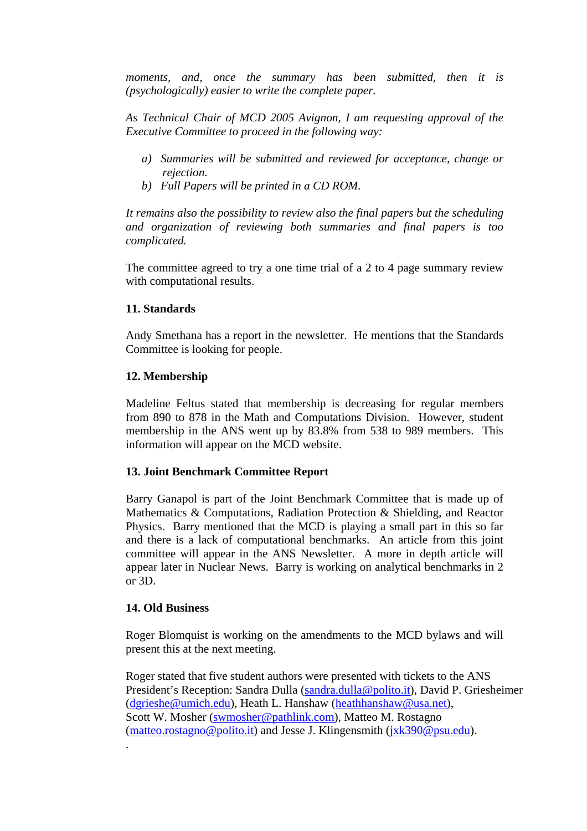*moments, and, once the summary has been submitted, then it is (psychologically) easier to write the complete paper.* 

*As Technical Chair of MCD 2005 Avignon, I am requesting approval of the Executive Committee to proceed in the following way:* 

- *a) Summaries will be submitted and reviewed for acceptance, change or rejection.*
- *b) Full Papers will be printed in a CD ROM.*

*It remains also the possibility to review also the final papers but the scheduling and organization of reviewing both summaries and final papers is too complicated.* 

The committee agreed to try a one time trial of a 2 to 4 page summary review with computational results.

#### **11. Standards**

Andy Smethana has a report in the newsletter. He mentions that the Standards Committee is looking for people.

#### **12. Membership**

Madeline Feltus stated that membership is decreasing for regular members from 890 to 878 in the Math and Computations Division. However, student membership in the ANS went up by 83.8% from 538 to 989 members. This information will appear on the MCD website.

#### **13. Joint Benchmark Committee Report**

Barry Ganapol is part of the Joint Benchmark Committee that is made up of Mathematics & Computations, Radiation Protection & Shielding, and Reactor Physics. Barry mentioned that the MCD is playing a small part in this so far and there is a lack of computational benchmarks. An article from this joint committee will appear in the ANS Newsletter. A more in depth article will appear later in Nuclear News. Barry is working on analytical benchmarks in 2 or 3D.

#### **14. Old Business**

.

Roger Blomquist is working on the amendments to the MCD bylaws and will present this at the next meeting.

Roger stated that five student authors were presented with tickets to the ANS President's Reception: Sandra Dulla ([sandra.dulla@polito.it\)](mailto:sandra.dulla@polito.it), David P. Griesheimer ([dgrieshe@umich.edu\)](mailto:dgrieshe@umich.edu), Heath L. Hanshaw [\(heathhanshaw@usa.net\)](mailto:heathhanshaw@usa.net), Scott W. Mosher [\(swmosher@pathlink.com\)](mailto:swmosher@pathlink.com), Matteo M. Rostagno ([matteo.rostagno@polito.it](mailto:matteo.rostagno@polito.it)) and Jesse J. Klingensmith [\(jxk390@psu.edu\)](mailto:jxk390@psu.edu).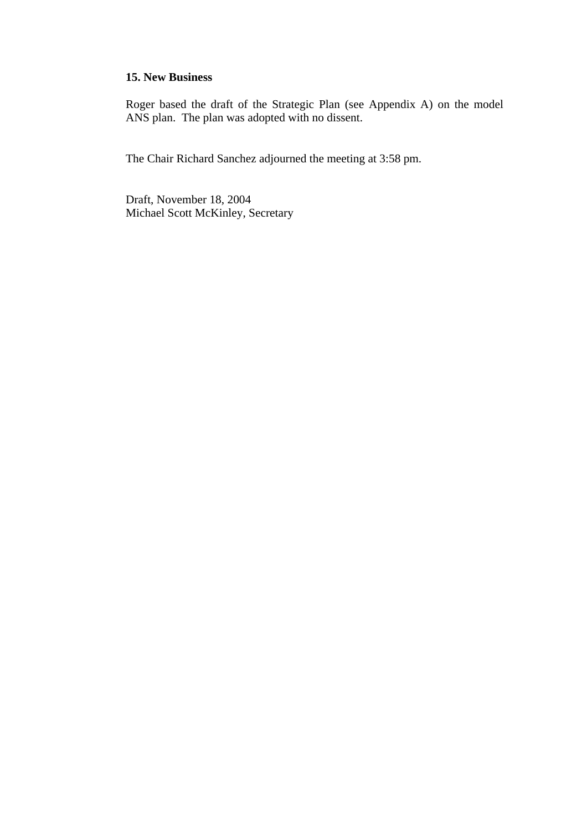## **15. New Business**

Roger based the draft of the Strategic Plan (see Appendix A) on the model ANS plan. The plan was adopted with no dissent.

The Chair Richard Sanchez adjourned the meeting at 3:58 pm.

Draft, November 18, 2004 Michael Scott McKinley, Secretary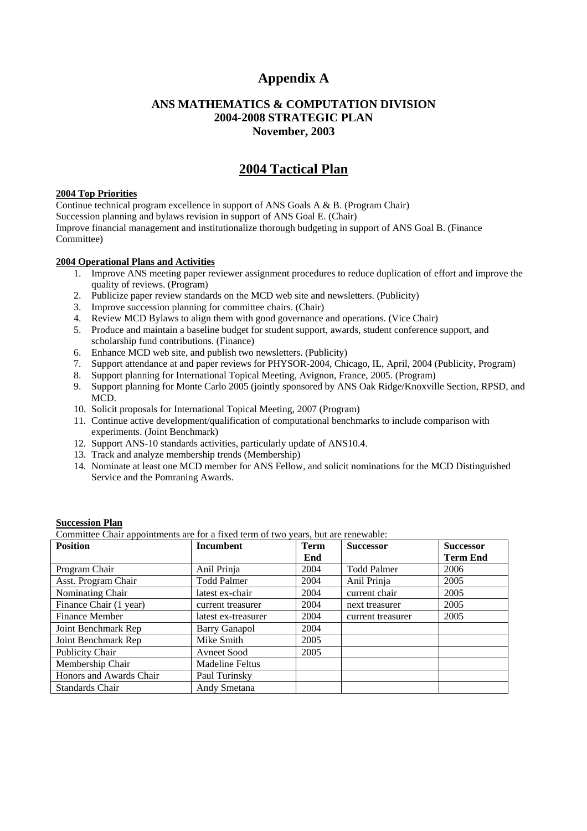# **Appendix A**

#### **ANS MATHEMATICS & COMPUTATION DIVISION 2004-2008 STRATEGIC PLAN November, 2003**

# **2004 Tactical Plan**

#### **2004 Top Priorities**

Continue technical program excellence in support of ANS Goals A & B. (Program Chair) Succession planning and bylaws revision in support of ANS Goal E. (Chair) Improve financial management and institutionalize thorough budgeting in support of ANS Goal B. (Finance Committee)

#### **2004 Operational Plans and Activities**

- 1. Improve ANS meeting paper reviewer assignment procedures to reduce duplication of effort and improve the quality of reviews. (Program)
- 2. Publicize paper review standards on the MCD web site and newsletters. (Publicity)
- 3. Improve succession planning for committee chairs. (Chair)
- 4. Review MCD Bylaws to align them with good governance and operations. (Vice Chair)
- 5. Produce and maintain a baseline budget for student support, awards, student conference support, and scholarship fund contributions. (Finance)
- 6. Enhance MCD web site, and publish two newsletters. (Publicity)
- 7. Support attendance at and paper reviews for PHYSOR-2004, Chicago, IL, April, 2004 (Publicity, Program)
- 8. Support planning for International Topical Meeting, Avignon, France, 2005. (Program)
- 9. Support planning for Monte Carlo 2005 (jointly sponsored by ANS Oak Ridge/Knoxville Section, RPSD, and MCD.
- 10. Solicit proposals for International Topical Meeting, 2007 (Program)
- 11. Continue active development/qualification of computational benchmarks to include comparison with experiments. (Joint Benchmark)
- 12. Support ANS-10 standards activities, particularly update of ANS10.4.
- 13. Track and analyze membership trends (Membership)
- 14. Nominate at least one MCD member for ANS Fellow, and solicit nominations for the MCD Distinguished Service and the Pomraning Awards.

#### **Succession Plan**

Committee Chair appointments are for a fixed term of two years, but are renewable:

| <b>Position</b>         | Incumbent           | <b>Term</b> | <b>Successor</b>   | <b>Successor</b> |
|-------------------------|---------------------|-------------|--------------------|------------------|
|                         |                     | End         |                    | <b>Term End</b>  |
| Program Chair           | Anil Prinja         | 2004        | <b>Todd Palmer</b> | 2006             |
| Asst. Program Chair     | <b>Todd Palmer</b>  | 2004        | Anil Prinja        | 2005             |
| Nominating Chair        | latest ex-chair     | 2004        | current chair      | 2005             |
| Finance Chair (1 year)  | current treasurer   | 2004        | next treasurer     | 2005             |
| Finance Member          | latest ex-treasurer | 2004        | current treasurer  | 2005             |
| Joint Benchmark Rep     | Barry Ganapol       | 2004        |                    |                  |
| Joint Benchmark Rep     | Mike Smith          | 2005        |                    |                  |
| Publicity Chair         | Avneet Sood         | 2005        |                    |                  |
| Membership Chair        | Madeline Feltus     |             |                    |                  |
| Honors and Awards Chair | Paul Turinsky       |             |                    |                  |
| Standards Chair         | Andy Smetana        |             |                    |                  |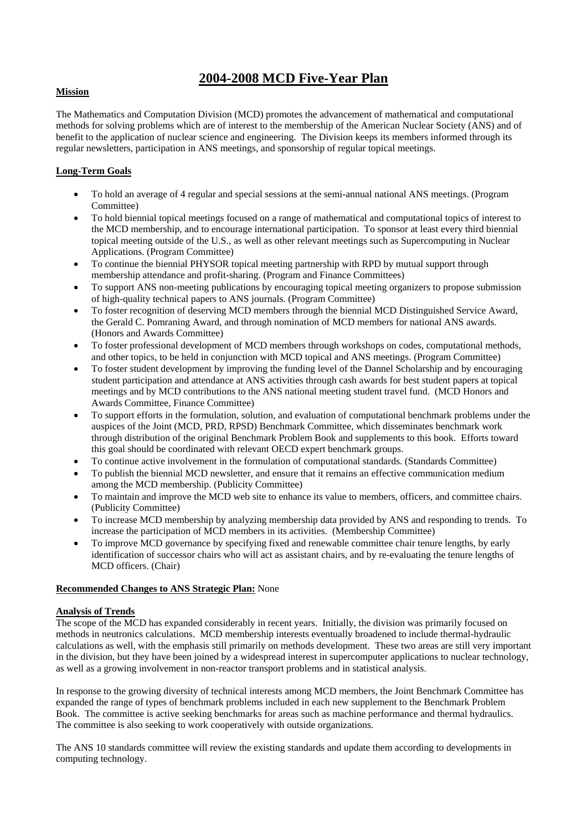# **2004-2008 MCD Five-Year Plan**

#### **Mission**

The Mathematics and Computation Division (MCD) promotes the advancement of mathematical and computational methods for solving problems which are of interest to the membership of the American Nuclear Society (ANS) and of benefit to the application of nuclear science and engineering. The Division keeps its members informed through its regular newsletters, participation in ANS meetings, and sponsorship of regular topical meetings.

#### **Long-Term Goals**

- To hold an average of 4 regular and special sessions at the semi-annual national ANS meetings. (Program Committee)
- To hold biennial topical meetings focused on a range of mathematical and computational topics of interest to the MCD membership, and to encourage international participation. To sponsor at least every third biennial topical meeting outside of the U.S., as well as other relevant meetings such as Supercomputing in Nuclear Applications. (Program Committee)
- To continue the biennial PHYSOR topical meeting partnership with RPD by mutual support through membership attendance and profit-sharing. (Program and Finance Committees)
- To support ANS non-meeting publications by encouraging topical meeting organizers to propose submission of high-quality technical papers to ANS journals. (Program Committee)
- To foster recognition of deserving MCD members through the biennial MCD Distinguished Service Award, the Gerald C. Pomraning Award, and through nomination of MCD members for national ANS awards. (Honors and Awards Committee)
- To foster professional development of MCD members through workshops on codes, computational methods, and other topics, to be held in conjunction with MCD topical and ANS meetings. (Program Committee)
- To foster student development by improving the funding level of the Dannel Scholarship and by encouraging student participation and attendance at ANS activities through cash awards for best student papers at topical meetings and by MCD contributions to the ANS national meeting student travel fund. (MCD Honors and Awards Committee, Finance Committee)
- To support efforts in the formulation, solution, and evaluation of computational benchmark problems under the auspices of the Joint (MCD, PRD, RPSD) Benchmark Committee, which disseminates benchmark work through distribution of the original Benchmark Problem Book and supplements to this book. Efforts toward this goal should be coordinated with relevant OECD expert benchmark groups.
- To continue active involvement in the formulation of computational standards. (Standards Committee)
- To publish the biennial MCD newsletter, and ensure that it remains an effective communication medium among the MCD membership. (Publicity Committee)
- To maintain and improve the MCD web site to enhance its value to members, officers, and committee chairs. (Publicity Committee)
- To increase MCD membership by analyzing membership data provided by ANS and responding to trends. To increase the participation of MCD members in its activities. (Membership Committee)
- To improve MCD governance by specifying fixed and renewable committee chair tenure lengths, by early identification of successor chairs who will act as assistant chairs, and by re-evaluating the tenure lengths of MCD officers. (Chair)

#### **Recommended Changes to ANS Strategic Plan:** None

#### **Analysis of Trends**

The scope of the MCD has expanded considerably in recent years. Initially, the division was primarily focused on methods in neutronics calculations. MCD membership interests eventually broadened to include thermal-hydraulic calculations as well, with the emphasis still primarily on methods development. These two areas are still very important in the division, but they have been joined by a widespread interest in supercomputer applications to nuclear technology, as well as a growing involvement in non-reactor transport problems and in statistical analysis.

In response to the growing diversity of technical interests among MCD members, the Joint Benchmark Committee has expanded the range of types of benchmark problems included in each new supplement to the Benchmark Problem Book. The committee is active seeking benchmarks for areas such as machine performance and thermal hydraulics. The committee is also seeking to work cooperatively with outside organizations.

The ANS 10 standards committee will review the existing standards and update them according to developments in computing technology.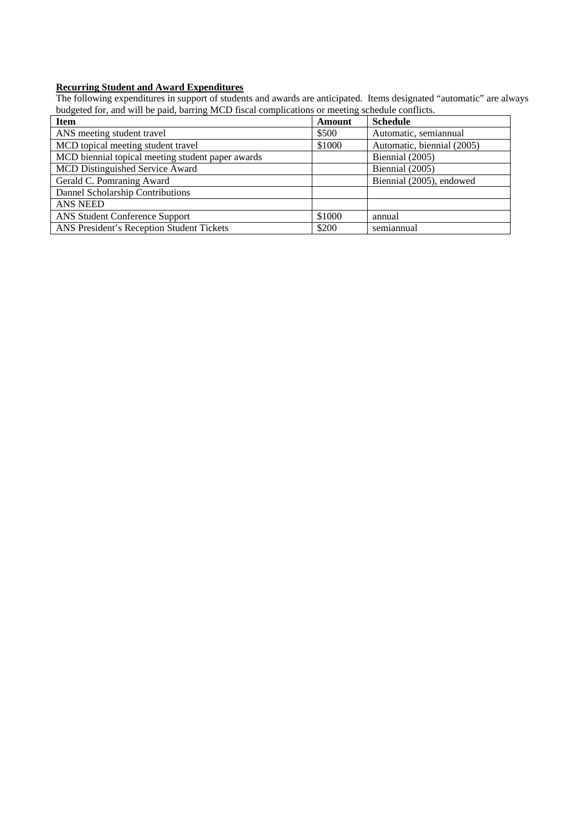#### **Recurring Student and Award Expenditures**

The following expenditures in support of students and awards are anticipated. Items designated "automatic" are always budgeted for, and will be paid, barring MCD fiscal complications or meeting schedule conflicts.

| <b>Item</b>                                       | Amount | <b>Schedule</b>            |
|---------------------------------------------------|--------|----------------------------|
| ANS meeting student travel                        | \$500  | Automatic, semiannual      |
| MCD topical meeting student travel                | \$1000 | Automatic, biennial (2005) |
| MCD biennial topical meeting student paper awards |        | Biennial (2005)            |
| MCD Distinguished Service Award                   |        | Biennial (2005)            |
| Gerald C. Pomraning Award                         |        | Biennial (2005), endowed   |
| Dannel Scholarship Contributions                  |        |                            |
| <b>ANS NEED</b>                                   |        |                            |
| <b>ANS Student Conference Support</b>             | \$1000 | annual                     |
| ANS President's Reception Student Tickets         | \$200  | semiannual                 |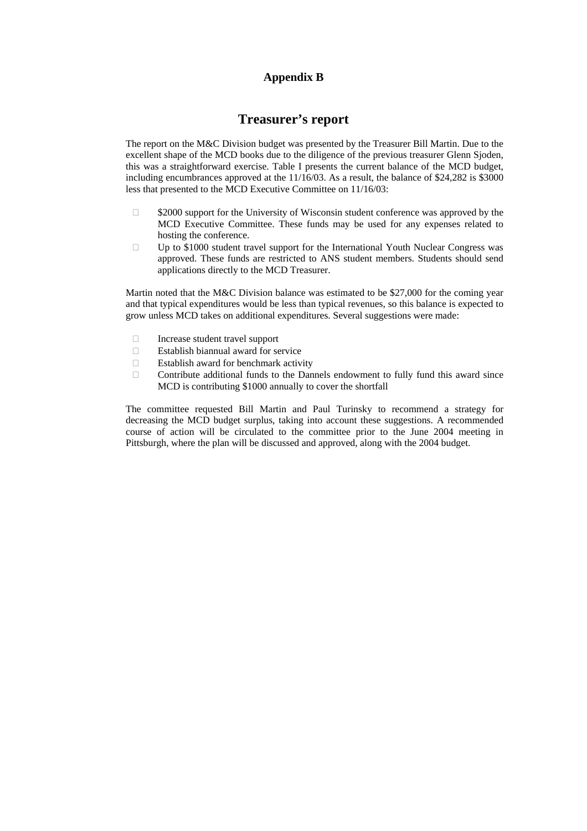## **Appendix B**

# **Treasurer's report**

The report on the M&C Division budget was presented by the Treasurer Bill Martin. Due to the excellent shape of the MCD books due to the diligence of the previous treasurer Glenn Sjoden, this was a straightforward exercise. Table I presents the current balance of the MCD budget, including encumbrances approved at the 11/16/03. As a result, the balance of \$24,282 is \$3000 less that presented to the MCD Executive Committee on 11/16/03:

- $\Box$  \$2000 support for the University of Wisconsin student conference was approved by the MCD Executive Committee. These funds may be used for any expenses related to hosting the conference.
- $\square$  Up to \$1000 student travel support for the International Youth Nuclear Congress was approved. These funds are restricted to ANS student members. Students should send applications directly to the MCD Treasurer.

Martin noted that the M&C Division balance was estimated to be \$27,000 for the coming year and that typical expenditures would be less than typical revenues, so this balance is expected to grow unless MCD takes on additional expenditures. Several suggestions were made:

- Increase student travel support
- Establish biannual award for service
- $\Box$  Establish award for benchmark activity
- $\Box$  Contribute additional funds to the Dannels endowment to fully fund this award since MCD is contributing \$1000 annually to cover the shortfall

The committee requested Bill Martin and Paul Turinsky to recommend a strategy for decreasing the MCD budget surplus, taking into account these suggestions. A recommended course of action will be circulated to the committee prior to the June 2004 meeting in Pittsburgh, where the plan will be discussed and approved, along with the 2004 budget.